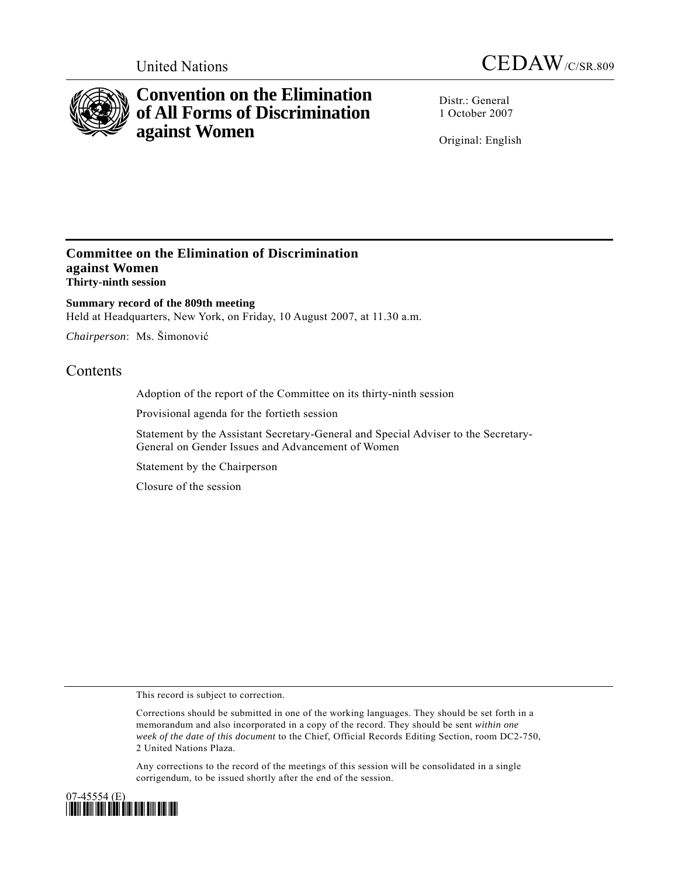



# **Convention on the Elimination of All Forms of Discrimination against Women**

Distr.: General 1 October 2007

Original: English

### **Committee on the Elimination of Discrimination against Women Thirty-ninth session**

**Summary record of the 809th meeting**  Held at Headquarters, New York, on Friday, 10 August 2007, at 11.30 a.m.

*Chairperson*: Ms. Šimonović

## **Contents**

Adoption of the report of the Committee on its thirty-ninth session

Provisional agenda for the fortieth session

Statement by the Assistant Secretary-General and Special Adviser to the Secretary-General on Gender Issues and Advancement of Women

Statement by the Chairperson

Closure of the session

This record is subject to correction.

Corrections should be submitted in one of the working languages. They should be set forth in a memorandum and also incorporated in a copy of the record. They should be sent *within one week of the date of this document* to the Chief, Official Records Editing Section, room DC2-750, 2 United Nations Plaza.

Any corrections to the record of the meetings of this session will be consolidated in a single corrigendum, to be issued shortly after the end of the session.

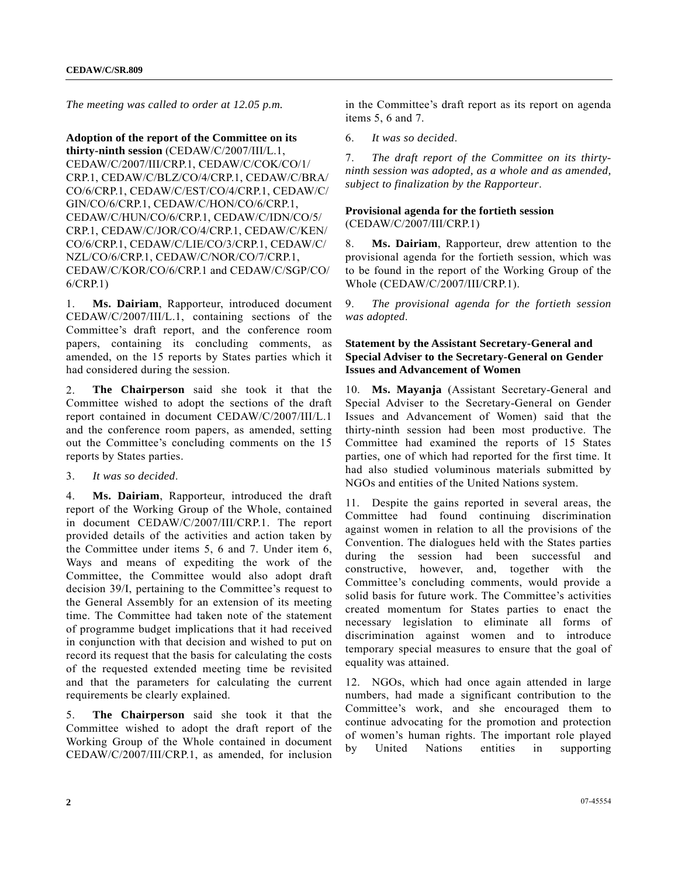*The meeting was called to order at 12.05 p.m.* 

**Adoption of the report of the Committee on its thirty-ninth session** (CEDAW/C/2007/III/L.1, CEDAW/C/2007/III/CRP.1, CEDAW/C/COK/CO/1/ CRP.1, CEDAW/C/BLZ/CO/4/CRP.1, CEDAW/C/BRA/ CO/6/CRP.1, CEDAW/C/EST/CO/4/CRP.1, CEDAW/C/ GIN/CO/6/CRP.1, CEDAW/C/HON/CO/6/CRP.1, CEDAW/C/HUN/CO/6/CRP.1, CEDAW/C/IDN/CO/5/ CRP.1, CEDAW/C/JOR/CO/4/CRP.1, CEDAW/C/KEN/ CO/6/CRP.1, CEDAW/C/LIE/CO/3/CRP.1, CEDAW/C/ NZL/CO/6/CRP.1, CEDAW/C/NOR/CO/7/CRP.1, CEDAW/C/KOR/CO/6/CRP.1 and CEDAW/C/SGP/CO/ 6/CRP.1)

1. **Ms. Dairiam**, Rapporteur, introduced document CEDAW/C/2007/III/L.1, containing sections of the Committee's draft report, and the conference room papers, containing its concluding comments, as amended, on the 15 reports by States parties which it had considered during the session.

2. **The Chairperson** said she took it that the Committee wished to adopt the sections of the draft report contained in document CEDAW/C/2007/III/L.1 and the conference room papers, as amended, setting out the Committee's concluding comments on the 15 reports by States parties.

3. *It was so decided*.

4. **Ms. Dairiam**, Rapporteur, introduced the draft report of the Working Group of the Whole, contained in document CEDAW/C/2007/III/CRP.1. The report provided details of the activities and action taken by the Committee under items 5, 6 and 7. Under item 6, Ways and means of expediting the work of the Committee, the Committee would also adopt draft decision 39/I, pertaining to the Committee's request to the General Assembly for an extension of its meeting time. The Committee had taken note of the statement of programme budget implications that it had received in conjunction with that decision and wished to put on record its request that the basis for calculating the costs of the requested extended meeting time be revisited and that the parameters for calculating the current requirements be clearly explained.

5. **The Chairperson** said she took it that the Committee wished to adopt the draft report of the Working Group of the Whole contained in document CEDAW/C/2007/III/CRP.1, as amended, for inclusion

in the Committee's draft report as its report on agenda items 5, 6 and 7.

6. *It was so decided*.

7. *The draft report of the Committee on its thirtyninth session was adopted, as a whole and as amended, subject to finalization by the Rapporteur*.

#### **Provisional agenda for the fortieth session**  (CEDAW/C/2007/III/CRP.1)

8. **Ms. Dairiam**, Rapporteur, drew attention to the provisional agenda for the fortieth session, which was to be found in the report of the Working Group of the Whole (CEDAW/C/2007/III/CRP.1).

9. *The provisional agenda for the fortieth session was adopted*.

#### **Statement by the Assistant Secretary-General and Special Adviser to the Secretary-General on Gender Issues and Advancement of Women**

10. **Ms. Mayanja** (Assistant Secretary-General and Special Adviser to the Secretary-General on Gender Issues and Advancement of Women) said that the thirty-ninth session had been most productive. The Committee had examined the reports of 15 States parties, one of which had reported for the first time. It had also studied voluminous materials submitted by NGOs and entities of the United Nations system.

11. Despite the gains reported in several areas, the Committee had found continuing discrimination against women in relation to all the provisions of the Convention. The dialogues held with the States parties during the session had been successful and constructive, however, and, together with the Committee's concluding comments, would provide a solid basis for future work. The Committee's activities created momentum for States parties to enact the necessary legislation to eliminate all forms of discrimination against women and to introduce temporary special measures to ensure that the goal of equality was attained.

12. NGOs, which had once again attended in large numbers, had made a significant contribution to the Committee's work, and she encouraged them to continue advocating for the promotion and protection of women's human rights. The important role played by United Nations entities in supporting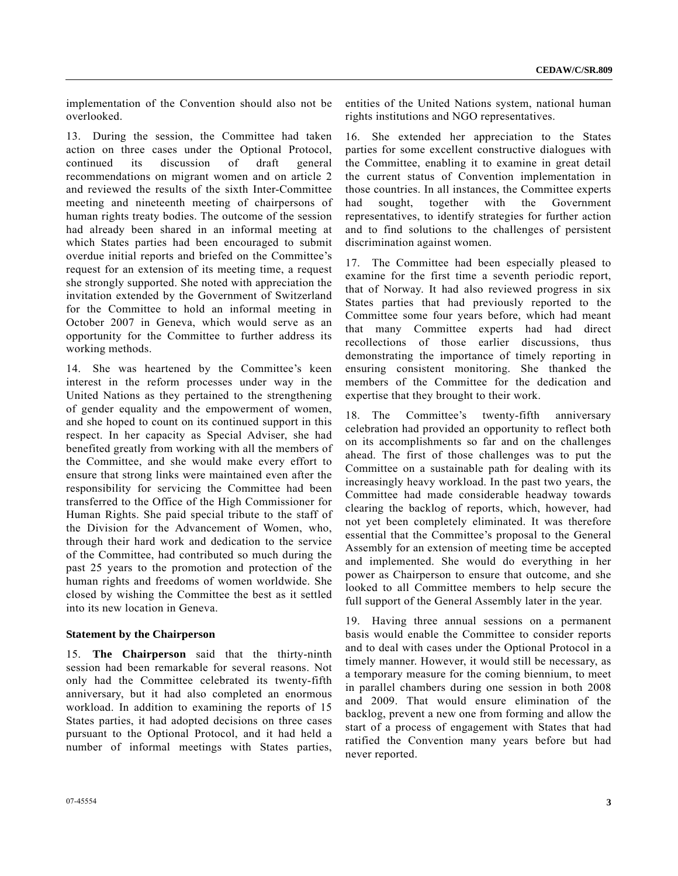implementation of the Convention should also not be overlooked.

13. During the session, the Committee had taken action on three cases under the Optional Protocol, continued its discussion of draft general recommendations on migrant women and on article 2 and reviewed the results of the sixth Inter-Committee meeting and nineteenth meeting of chairpersons of human rights treaty bodies. The outcome of the session had already been shared in an informal meeting at which States parties had been encouraged to submit overdue initial reports and briefed on the Committee's request for an extension of its meeting time, a request she strongly supported. She noted with appreciation the invitation extended by the Government of Switzerland for the Committee to hold an informal meeting in October 2007 in Geneva, which would serve as an opportunity for the Committee to further address its working methods.

14. She was heartened by the Committee's keen interest in the reform processes under way in the United Nations as they pertained to the strengthening of gender equality and the empowerment of women, and she hoped to count on its continued support in this respect. In her capacity as Special Adviser, she had benefited greatly from working with all the members of the Committee, and she would make every effort to ensure that strong links were maintained even after the responsibility for servicing the Committee had been transferred to the Office of the High Commissioner for Human Rights. She paid special tribute to the staff of the Division for the Advancement of Women, who, through their hard work and dedication to the service of the Committee, had contributed so much during the past 25 years to the promotion and protection of the human rights and freedoms of women worldwide. She closed by wishing the Committee the best as it settled into its new location in Geneva.

#### **Statement by the Chairperson**

15. **The Chairperson** said that the thirty-ninth session had been remarkable for several reasons. Not only had the Committee celebrated its twenty-fifth anniversary, but it had also completed an enormous workload. In addition to examining the reports of 15 States parties, it had adopted decisions on three cases pursuant to the Optional Protocol, and it had held a number of informal meetings with States parties, entities of the United Nations system, national human rights institutions and NGO representatives.

16. She extended her appreciation to the States parties for some excellent constructive dialogues with the Committee, enabling it to examine in great detail the current status of Convention implementation in those countries. In all instances, the Committee experts had sought, together with the Government representatives, to identify strategies for further action and to find solutions to the challenges of persistent discrimination against women.

17. The Committee had been especially pleased to examine for the first time a seventh periodic report, that of Norway. It had also reviewed progress in six States parties that had previously reported to the Committee some four years before, which had meant that many Committee experts had had direct recollections of those earlier discussions, thus demonstrating the importance of timely reporting in ensuring consistent monitoring. She thanked the members of the Committee for the dedication and expertise that they brought to their work.

18. The Committee's twenty-fifth anniversary celebration had provided an opportunity to reflect both on its accomplishments so far and on the challenges ahead. The first of those challenges was to put the Committee on a sustainable path for dealing with its increasingly heavy workload. In the past two years, the Committee had made considerable headway towards clearing the backlog of reports, which, however, had not yet been completely eliminated. It was therefore essential that the Committee's proposal to the General Assembly for an extension of meeting time be accepted and implemented. She would do everything in her power as Chairperson to ensure that outcome, and she looked to all Committee members to help secure the full support of the General Assembly later in the year.

19. Having three annual sessions on a permanent basis would enable the Committee to consider reports and to deal with cases under the Optional Protocol in a timely manner. However, it would still be necessary, as a temporary measure for the coming biennium, to meet in parallel chambers during one session in both 2008 and 2009. That would ensure elimination of the backlog, prevent a new one from forming and allow the start of a process of engagement with States that had ratified the Convention many years before but had never reported.